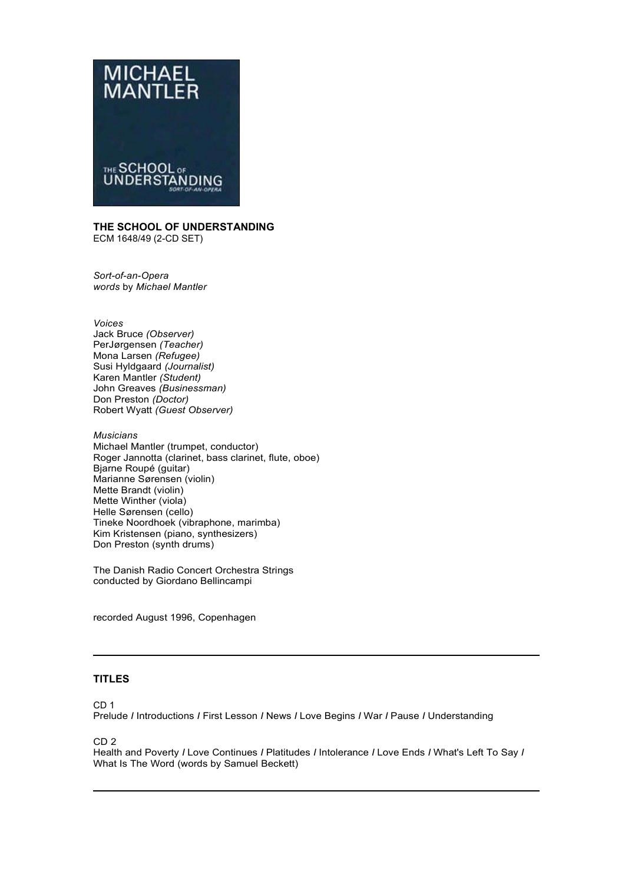

### **THE SCHOOL OF UNDERSTANDING**  ECM 1648/49 (2-CD SET)

*Sort-of-an-Opera words* by *Michael Mantler* 

*Voices* 

Jack Bruce *(Observer)*  PerJørgensen *(Teacher)*  Mona Larsen *(Refugee)*  Susi Hyldgaard *(Journalist)*  Karen Mantler *(Student)*  John Greaves *(Businessman)*  Don Preston *(Doctor)*  Robert Wyatt *(Guest Observer)* 

*Musicians*  Michael Mantler (trumpet, conductor) Roger Jannotta (clarinet, bass clarinet, flute, oboe) Bjarne Roupé (guitar) Marianne Sørensen (violin) Mette Brandt (violin) Mette Winther (viola) Helle Sørensen (cello) Tineke Noordhoek (vibraphone, marimba) Kim Kristensen (piano, synthesizers) Don Preston (synth drums)

The Danish Radio Concert Orchestra Strings conducted by Giordano Bellincampi

recorded August 1996, Copenhagen

# **TITLES**

CD 1

Prelude *I* Introductions *I* First Lesson *I* News *I* Love Begins *I* War *I* Pause *I* Understanding

CD 2

Health and Poverty *I* Love Continues *I* Platitudes *I* Intolerance *I* Love Ends *I* What's Left To Say *I*  What Is The Word (words by Samuel Beckett)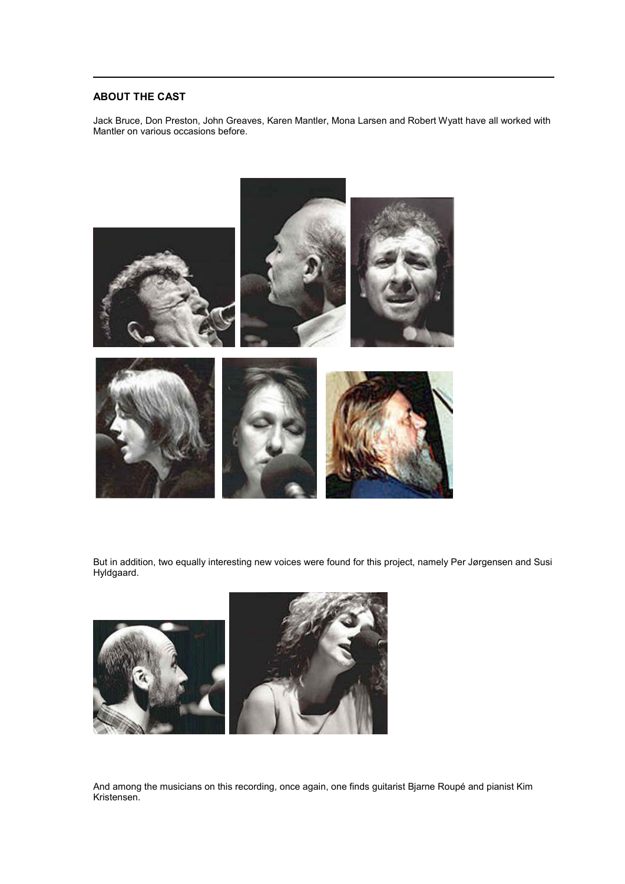## **ABOUT THE CAST**

Jack Bruce, Don Preston, John Greaves, Karen Mantler, Mona Larsen and Robert Wyatt have all worked with Mantler on various occasions before.



But in addition, two equally interesting new voices were found for this project, namely Per Jørgensen and Susi Hyldgaard.



And among the musicians on this recording, once again, one finds guitarist Bjarne Roupé and pianist Kim Kristensen.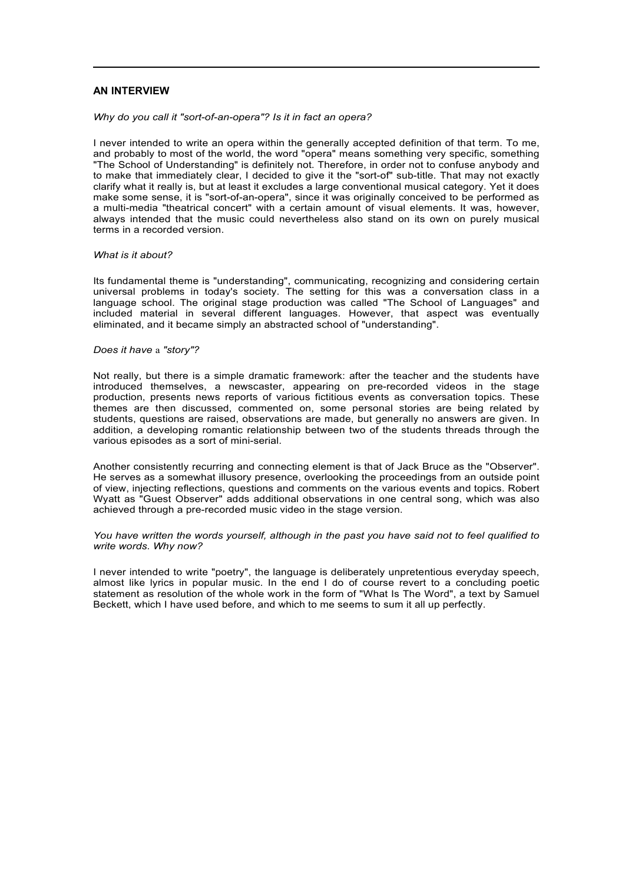## **AN INTERVIEW**

#### *Why do you call it "sort-of-an-opera"? Is it in fact an opera?*

I never intended to write an opera within the generally accepted definition of that term. To me, and probably to most of the world, the word "opera" means something very specific, something "The School of Understanding" is definitely not. Therefore, in order not to confuse anybody and to make that immediately clear, I decided to give it the "sort-of" sub-title. That may not exactly clarify what it really is, but at least it excludes a large conventional musical category. Yet it does make some sense, it is "sort-of-an-opera", since it was originally conceived to be performed as a multi-media "theatrical concert" with a certain amount of visual elements. It was, however, always intended that the music could nevertheless also stand on its own on purely musical terms in a recorded version.

#### *What is it about?*

Its fundamental theme is "understanding", communicating, recognizing and considering certain universal problems in today's society. The setting for this was a conversation class in a language school. The original stage production was called "The School of Languages" and included material in several different languages. However, that aspect was eventually eliminated, and it became simply an abstracted school of "understanding".

#### *Does it have* a *"story"?*

Not really, but there is a simple dramatic framework: after the teacher and the students have introduced themselves, a newscaster, appearing on pre-recorded videos in the stage production, presents news reports of various fictitious events as conversation topics. These themes are then discussed, commented on, some personal stories are being related by students, questions are raised, observations are made, but generally no answers are given. In addition, a developing romantic relationship between two of the students threads through the various episodes as a sort of mini-serial.

Another consistently recurring and connecting element is that of Jack Bruce as the "Observer". He serves as a somewhat illusory presence, overlooking the proceedings from an outside point of view, injecting reflections, questions and comments on the various events and topics. Robert Wyatt as "Guest Observer" adds additional observations in one central song, which was also achieved through a pre-recorded music video in the stage version.

*You have written the words yourself, although in the past you have said not to feel qualified to write words. Why now?* 

I never intended to write "poetry", the language is deliberately unpretentious everyday speech, almost like lyrics in popular music. In the end I do of course revert to a concluding poetic statement as resolution of the whole work in the form of "What Is The Word", a text by Samuel Beckett, which I have used before, and which to me seems to sum it all up perfectly.